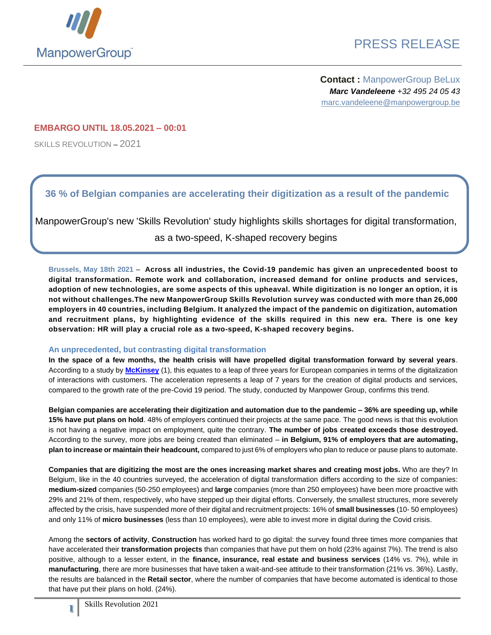

## PRESS RELEASE

**Contact :** ManpowerGroup BeLux *Marc Vandeleene +32 495 24 05 43* marc.vandeleene@manpowergroup.be

### **EMBARGO UNTIL 18.05.2021 – 00:01**

SKILLS REVOLUTION – 2021

### **36 % of Belgian companies are accelerating their digitization as a result of the pandemic**

ManpowerGroup's new 'Skills Revolution' study highlights skills shortages for digital transformation, as a two-speed, K-shaped recovery begins

**Brussels, May 18th 2021** – **Across all industries, the Covid-19 pandemic has given an unprecedented boost to digital transformation. Remote work and collaboration, increased demand for online products and services,** adoption of new technologies, are some aspects of this upheaval. While digitization is no longer an option, it is **not without challenges.The new ManpowerGroup Skills Revolution survey was conducted with more than 26,000 employers in 40 countries, including Belgium. It analyzed the impact of the pandemic on digitization, automation** and recruitment plans, by highlighting evidence of the skills required in this new era. There is one key **observation: HR will play a crucial role as a two-speed, K-shaped recovery begins.**

#### **An unprecedented, but contrasting digital transformation**

**In the space of a few months, the health crisis will have propelled digital transformation forward by several years**. According to a study by **[McKinsey](https://www.mckinsey.com/business-functions/strategy-and-corporate-finance/our-insights/how-covid-19-has-pushed-companies-over-the-technology-tipping-point-and-transformed-business-forever)** (1), this equates to a leap of three years for European companies in terms of the digitalization of interactions with customers. The acceleration represents a leap of 7 years for the creation of digital products and services, compared to the growth rate of the pre-Covid 19 period. The study, conducted by Manpower Group, confirms this trend.

**Belgian companies are accelerating their digitization and automation due to the pandemic – 36% are speeding up, while 15% have put plans on hold**. 48% of employers continued their projects at the same pace. The good news is that this evolution is not having a negative impact on employment, quite the contrary. **The number of jobs created exceeds those destroyed.** According to the survey, more jobs are being created than eliminated – **in Belgium, 91% of employers that are automating, plan to increase or maintain their headcount,** compared to just 6% of employers who plan to reduce or pause plans to automate.

**Companies that are digitizing the most are the ones increasing market shares and creating most jobs.** Who are they? In Belgium, like in the 40 countries surveyed, the acceleration of digital transformation differs according to the size of companies: **medium-sized** companies (50-250 employees) and **large** companies (more than 250 employees) have been more proactive with 29% and 21% of them, respectively, who have stepped up their digital efforts. Conversely, the smallest structures, more severely affected by the crisis, have suspended more of their digital and recruitment projects: 16% of **small businesses** (10- 50 employees) and only 11% of **micro businesses** (less than 10 employees), were able to invest more in digital during the Covid crisis.

Among the **sectors of activity**, **Construction** has worked hard to go digital: the survey found three times more companies that have accelerated their **transformation projects** than companies that have put them on hold (23% against 7%). The trend is also positive, although to a lesser extent, in the **finance, insurance, real estate and business services** (14% vs. 7%), while in **manufacturing**, there are more businesses that have taken a wait-and-see attitude to their transformation (21% vs. 36%). Lastly, the results are balanced in the **Retail sector**, where the number of companies that have become automated is identical to those that have put their plans on hold. (24%).

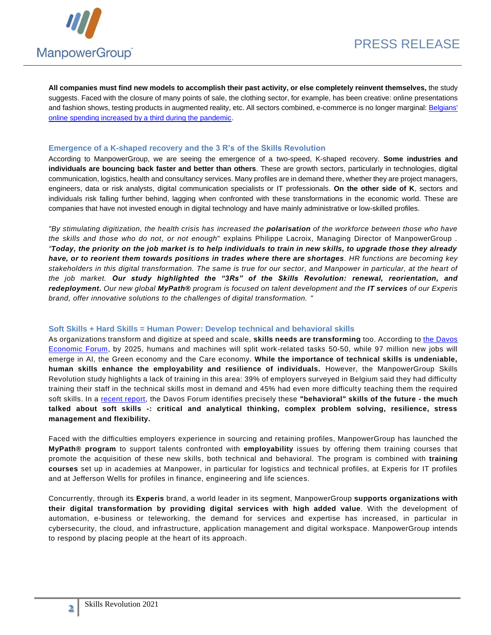

**All companies must find new models to accomplish their past activity, or else completely reinvent themselves,** the study suggests. Faced with the closure of many points of sale, the clothing sector, for example, has been creative: online presentations and fashion shows, testing products in augmented reality, etc. All sectors combined, e-commerce is no longer marginal[: Belgians'](https://www.creditexpo.be/fr/en-2020-les-ventes-de-produits-en-ligne-ont-augmente-aussi-rapidement-pendant-le-confinement-quen-periode-de-reouverture-des-commerces/)  [online spending increased by a third during the pandemic.](https://www.creditexpo.be/fr/en-2020-les-ventes-de-produits-en-ligne-ont-augmente-aussi-rapidement-pendant-le-confinement-quen-periode-de-reouverture-des-commerces/)

#### **Emergence of a K-shaped recovery and the 3 R's of the Skills Revolution**

According to ManpowerGroup, we are seeing the emergence of a two-speed, K-shaped recovery. **Some industries and individuals are bouncing back faster and better than others**. These are growth sectors, particularly in technologies, digital communication, logistics, health and consultancy services. Many profiles are in demand there, whether they are project managers, engineers, data or risk analysts, digital communication specialists or IT professionals. **On the other side of K**, sectors and individuals risk falling further behind, lagging when confronted with these transformations in the economic world. These are companies that have not invested enough in digital technology and have mainly administrative or low-skilled profiles.

*"By stimulating digitization, the health crisis has increased the polarisation of the workforce between those who have the skills and those who do not, or not enough*" explains Philippe Lacroix, Managing Director of ManpowerGroup . *"Today, the priority on the job market is to help individuals to train in new skills, to upgrade those they already have, or to reorient them towards positions in trades where there are shortages. HR functions are becoming key stakeholders in this digital transformation. The same is true for our sector, and Manpower in particular, at the heart of the job market. Our study highlighted the "3Rs" of the Skills Revolution: renewal, reorientation, and redeployment. Our new global MyPath® program is focused on talent development and the IT services of our Experis brand, offer innovative solutions to the challenges of digital transformation. "*

#### **Soft Skills + Hard Skills = Human Power: Develop technical and behavioral skills**

As organizations transform and digitize at speed and scale, **skills needs are transforming** too. According t[o the Davos](http://www3.weforum.org/docs/WEF_Future_of_Jobs_2018.pdf)  [Economic Forum,](http://www3.weforum.org/docs/WEF_Future_of_Jobs_2018.pdf) by 2025, humans and machines will split work-related tasks 50-50, while 97 million new jobs will emerge in AI, the Green economy and the Care economy. **While the importance of technical skills is undeniable, human skills enhance the employability and resilience of individuals.** However, the ManpowerGroup Skills Revolution study highlights a lack of training in this area: 39% of employers surveyed in Belgium said they had difficulty training their staff in the technical skills most in demand and 45% had even more difficulty teaching them the required soft skills. In a [recent report,](https://www.weforum.org/reports/the-future-of-jobs-report-2020/in-full/executive-summary) the Davos Forum identifies precisely these **"behavioral" skills of the future - the much talked about soft skills -: critical and analytical thinking, complex problem solving, resilience, stress management and flexibility.**

Faced with the difficulties employers experience in sourcing and retaining profiles, ManpowerGroup has launched the **MyPath® program** to support talents confronted with **employability** issues by offering them training courses that promote the acquisition of these new skills, both technical and behavioral. The program is combined with **training courses** set up in academies at Manpower, in particular for logistics and technical profiles, at Experis for IT profiles and at Jefferson Wells for profiles in finance, engineering and life sciences.

Concurrently, through its **Experis** brand, a world leader in its segment, ManpowerGroup **supports organizations with their digital transformation by providing digital services with high added value**. With the development of automation, e-business or teleworking, the demand for services and expertise has increased, in particular in cybersecurity, the cloud, and infrastructure, application management and digital workspace. ManpowerGroup intends to respond by placing people at the heart of its approach.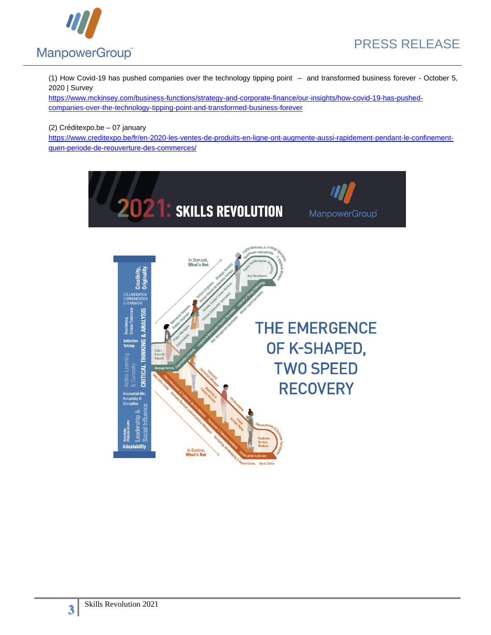

(1) How Covid-19 has pushed companies over the technology tipping point – and transformed business forever - October 5, 2020 | Survey

[https://www.mckinsey.com/business-functions/strategy-and-corporate-finance/our-insights/how-covid-19-has-pushed](https://www.mckinsey.com/business-functions/strategy-and-corporate-finance/our-insights/how-covid-19-has-pushed-companies-over-the-technology-tipping-point-and-transformed-business-forever)[companies-over-the-technology-tipping-point-and-transformed-business-forever](https://www.mckinsey.com/business-functions/strategy-and-corporate-finance/our-insights/how-covid-19-has-pushed-companies-over-the-technology-tipping-point-and-transformed-business-forever)

### (2) Créditexpo.be – 07 january

[https://www.creditexpo.be/fr/en-2020-les-ventes-de-produits-en-ligne-ont-augmente-aussi-rapidement-pendant-le-confinement](https://www.creditexpo.be/fr/en-2020-les-ventes-de-produits-en-ligne-ont-augmente-aussi-rapidement-pendant-le-confinement-quen-periode-de-reouverture-des-commerces/)[quen-periode-de-reouverture-des-commerces/](https://www.creditexpo.be/fr/en-2020-les-ventes-de-produits-en-ligne-ont-augmente-aussi-rapidement-pendant-le-confinement-quen-periode-de-reouverture-des-commerces/)

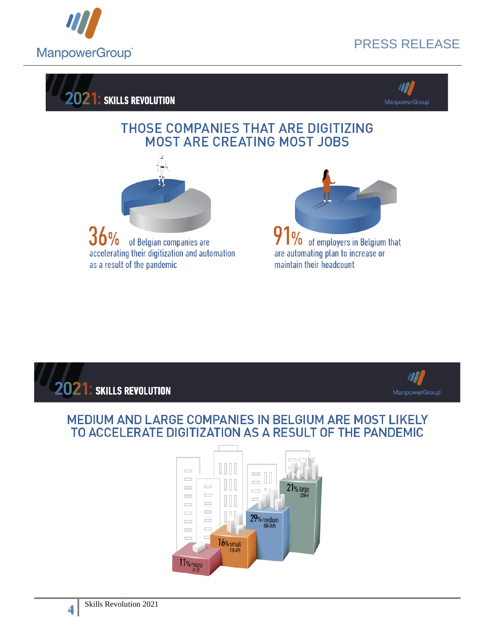

# PRESS RELEASE





### THOSE COMPANIES THAT ARE DIGITIZING **MOST ARE CREATING MOST JOBS**



36% of Belgian companies are accelerating their digitization and automation as a result of the pandemic







### MEDIUM AND LARGE COMPANIES IN BELGIUM ARE MOST LIKELY TO ACCELERATE DIGITIZATION AS A RESULT OF THE PANDEMIC